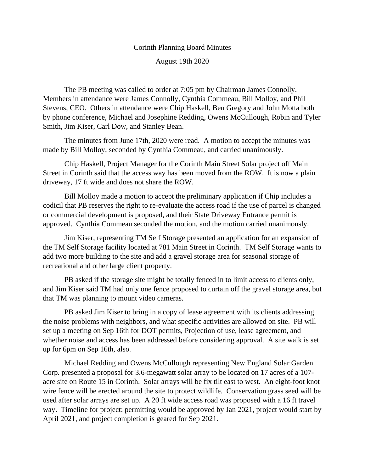## Corinth Planning Board Minutes

August 19th 2020

The PB meeting was called to order at 7:05 pm by Chairman James Connolly. Members in attendance were James Connolly, Cynthia Commeau, Bill Molloy, and Phil Stevens, CEO. Others in attendance were Chip Haskell, Ben Gregory and John Motta both by phone conference, Michael and Josephine Redding, Owens McCullough, Robin and Tyler Smith, Jim Kiser, Carl Dow, and Stanley Bean.

The minutes from June 17th, 2020 were read. A motion to accept the minutes was made by Bill Molloy, seconded by Cynthia Commeau, and carried unanimously.

Chip Haskell, Project Manager for the Corinth Main Street Solar project off Main Street in Corinth said that the access way has been moved from the ROW. It is now a plain driveway, 17 ft wide and does not share the ROW.

Bill Molloy made a motion to accept the preliminary application if Chip includes a codicil that PB reserves the right to re-evaluate the access road if the use of parcel is changed or commercial development is proposed, and their State Driveway Entrance permit is approved. Cynthia Commeau seconded the motion, and the motion carried unanimously.

Jim Kiser, representing TM Self Storage presented an application for an expansion of the TM Self Storage facility located at 781 Main Street in Corinth. TM Self Storage wants to add two more building to the site and add a gravel storage area for seasonal storage of recreational and other large client property.

PB asked if the storage site might be totally fenced in to limit access to clients only, and Jim Kiser said TM had only one fence proposed to curtain off the gravel storage area, but that TM was planning to mount video cameras.

PB asked Jim Kiser to bring in a copy of lease agreement with its clients addressing the noise problems with neighbors, and what specific activities are allowed on site. PB will set up a meeting on Sep 16th for DOT permits, Projection of use, lease agreement, and whether noise and access has been addressed before considering approval. A site walk is set up for 6pm on Sep 16th, also.

Michael Redding and Owens McCullough representing New England Solar Garden Corp. presented a proposal for 3.6-megawatt solar array to be located on 17 acres of a 107 acre site on Route 15 in Corinth. Solar arrays will be fix tilt east to west. An eight-foot knot wire fence will be erected around the site to protect wildlife. Conservation grass seed will be used after solar arrays are set up. A 20 ft wide access road was proposed with a 16 ft travel way. Timeline for project: permitting would be approved by Jan 2021, project would start by April 2021, and project completion is geared for Sep 2021.